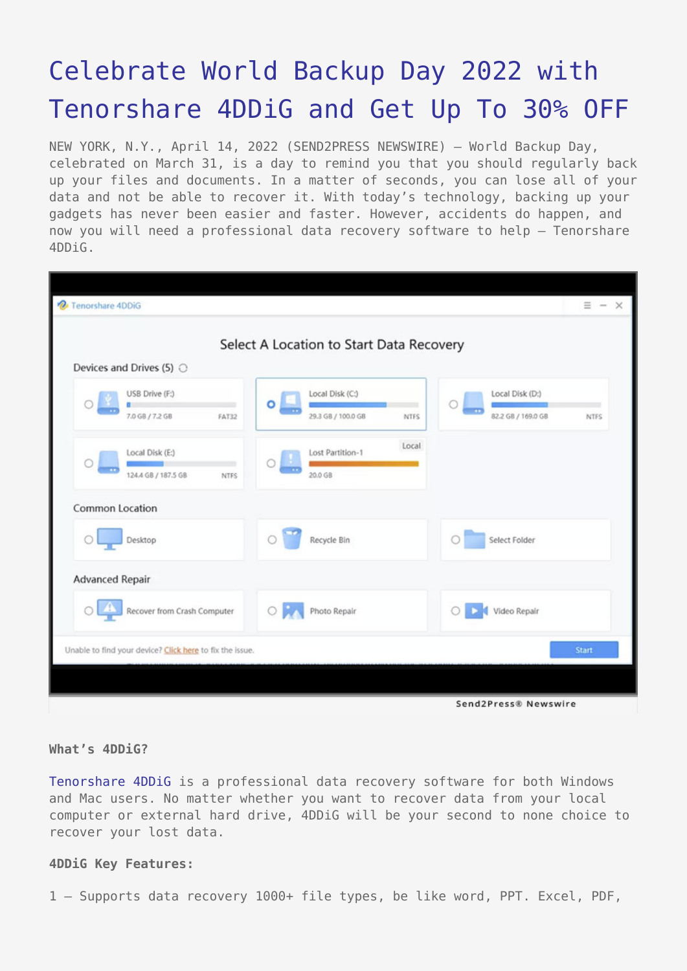# [Celebrate World Backup Day 2022 with](https://www.send2press.com/wire/celebrate-world-backup-day-2022-with-tenorshare-4ddig-and-get-up-to-30-off/) [Tenorshare 4DDiG and Get Up To 30% OFF](https://www.send2press.com/wire/celebrate-world-backup-day-2022-with-tenorshare-4ddig-and-get-up-to-30-off/)

NEW YORK, N.Y., April 14, 2022 (SEND2PRESS NEWSWIRE) — World Backup Day, celebrated on March 31, is a day to remind you that you should regularly back up your files and documents. In a matter of seconds, you can lose all of your data and not be able to recover it. With today's technology, backing up your gadgets has never been easier and faster. However, accidents do happen, and now you will need a professional data recovery software to help – Tenorshare 4DDiG.

| Tenorshare 4DDiG                                         |                                                       | $\equiv - x$                                                                 |
|----------------------------------------------------------|-------------------------------------------------------|------------------------------------------------------------------------------|
|                                                          | Select A Location to Start Data Recovery              |                                                                              |
| Devices and Drives (5) $\bigcirc$                        |                                                       |                                                                              |
| USB Drive (F:)<br>7.0 GB / 7.2 GB<br>FAT32               | Local Disk (C:)<br>$\circ \Box$<br>29.3 GB / 100.0 GB | Local Disk (D:)<br>$\mathbf{r}$<br>82.2 GB / 169.0 GB<br>NTFS<br><b>NTFS</b> |
| Local Disk (E:)<br>124.4 GB / 187.5 GB<br><b>NTFS</b>    | Lost Partition-1<br>Ο<br>78<br>20.0 GB                | Local                                                                        |
| Common Location                                          |                                                       |                                                                              |
| Desktop<br>$\circ$                                       | Recycle Bin                                           | Select Folder<br>O                                                           |
| <b>Advanced Repair</b>                                   |                                                       |                                                                              |
| Recover from Crash Computer                              | $\circ$<br>Photo Repair                               | Video Repair<br>$\circ$                                                      |
| Unable to find your device? Click here to fix the issue. |                                                       | <b>Start</b>                                                                 |
|                                                          |                                                       |                                                                              |

## **What's 4DDiG?**

[Tenorshare 4DDiG](https://4ddig.tenorshare.com/) is a professional data recovery software for both Windows and Mac users. No matter whether you want to recover data from your local computer or external hard drive, 4DDiG will be your second to none choice to recover your lost data.

#### **4DDiG Key Features:**

1 — Supports data recovery 1000+ file types, be like word, PPT. Excel, PDF,